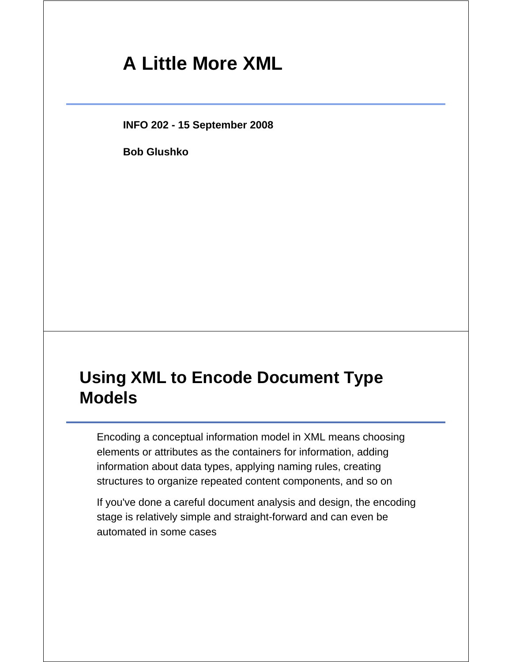# **A Little More XML**

**INFO 202 - 15 September 2008**

**Bob Glushko**

### **Using XML to Encode Document Type Models**

Encoding a conceptual information model in XML means choosing elements or attributes as the containers for information, adding information about data types, applying naming rules, creating structures to organize repeated content components, and so on

If you've done a careful document analysis and design, the encoding stage is relatively simple and straight-forward and can even be automated in some cases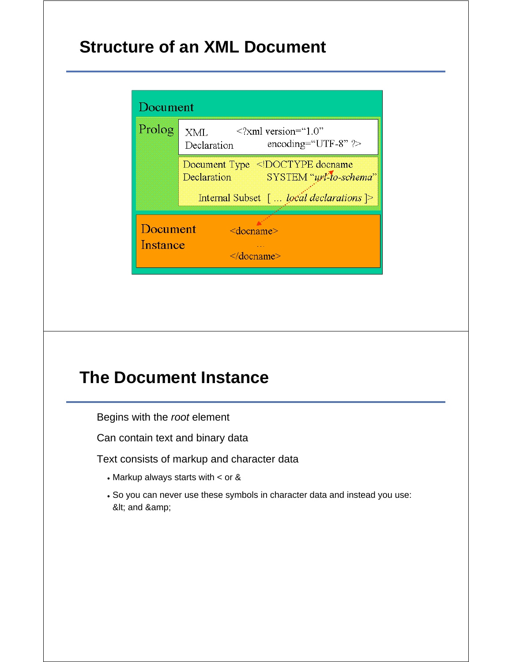# **Structure of an XML Document**



# **The Document Instance**

Begins with the *root* element

Can contain text and binary data

Text consists of markup and character data

- Markup always starts with < or &
- So you can never use these symbols in character data and instead you use: < and &amp;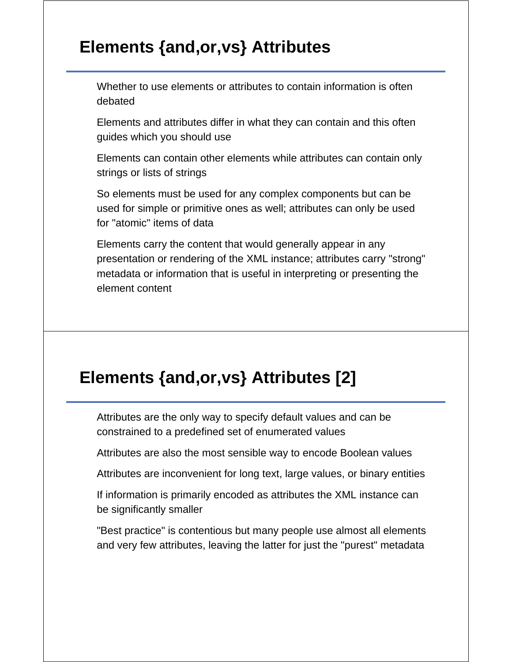# **Elements {and,or,vs} Attributes**

Whether to use elements or attributes to contain information is often debated

Elements and attributes differ in what they can contain and this often guides which you should use

Elements can contain other elements while attributes can contain only strings or lists of strings

So elements must be used for any complex components but can be used for simple or primitive ones as well; attributes can only be used for "atomic" items of data

Elements carry the content that would generally appear in any presentation or rendering of the XML instance; attributes carry "strong" metadata or information that is useful in interpreting or presenting the element content

### **Elements {and,or,vs} Attributes [2]**

Attributes are the only way to specify default values and can be constrained to a predefined set of enumerated values

Attributes are also the most sensible way to encode Boolean values

Attributes are inconvenient for long text, large values, or binary entities

If information is primarily encoded as attributes the XML instance can be significantly smaller

"Best practice" is contentious but many people use almost all elements and very few attributes, leaving the latter for just the "purest" metadata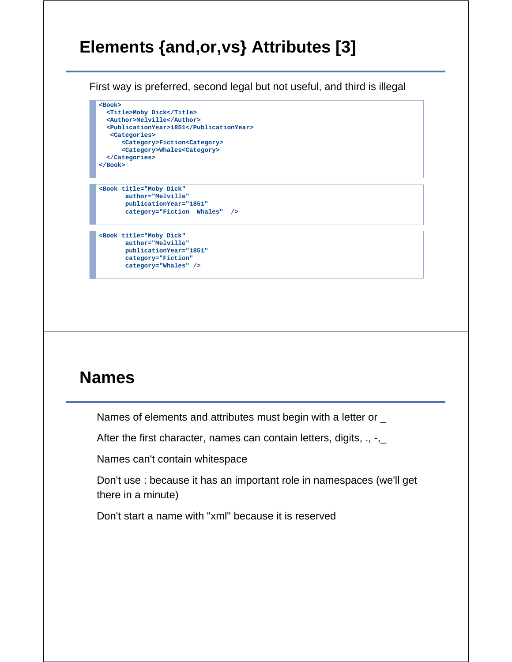# **Elements {and,or,vs} Attributes [3]**

First way is preferred, second legal but not useful, and third is illegal

```
<Book>
  <Title>Moby Dick</Title>
  <Author>Melville</Author>
  <PublicationYear>1851</PublicationYear>
   <Categories>
       <Category>Fiction<Category>
       <Category>Whales<Category>
  </Categories>
</Book>
```

```
<Book title="Moby Dick"
       author="Melville" 
       publicationYear="1851" 
       category="Fiction Whales" />
```
**<Book title="Moby Dick" author="Melville" publicationYear="1851" category="Fiction" category="Whales" />**

### **Names**

Names of elements and attributes must begin with a letter or \_

After the first character, names can contain letters, digits,  $\ldots$ ,

Names can't contain whitespace

Don't use : because it has an important role in namespaces (we'll get there in a minute)

Don't start a name with "xml" because it is reserved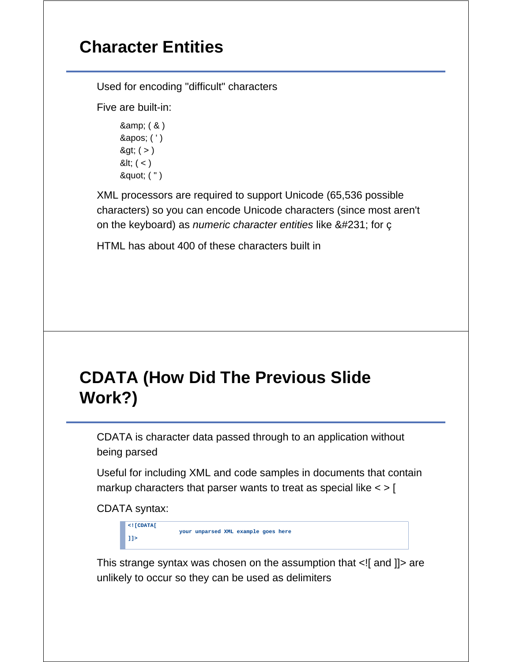# **Character Entities**

Used for encoding "difficult" characters

Five are built-in:

& amp; ( & ) ' ( ' )  $8gt;$  ( > )  $8$ lt;  $($  <  $)$ " ( " )

XML processors are required to support Unicode (65,536 possible characters) so you can encode Unicode characters (since most aren't on the keyboard) as *numeric character entities* like ç for ç

HTML has about 400 of these characters built in

# **CDATA (How Did The Previous Slide Work?)**

CDATA is character data passed through to an application without being parsed

Useful for including XML and code samples in documents that contain markup characters that parser wants to treat as special like  $\lt$  > [

CDATA syntax:

| $\leq$ ! [CDATA[ |                                     |  |  |
|------------------|-------------------------------------|--|--|
|                  | your unparsed XML example goes here |  |  |
| 11               |                                     |  |  |

This strange syntax was chosen on the assumption that <![ and ]]> are unlikely to occur so they can be used as delimiters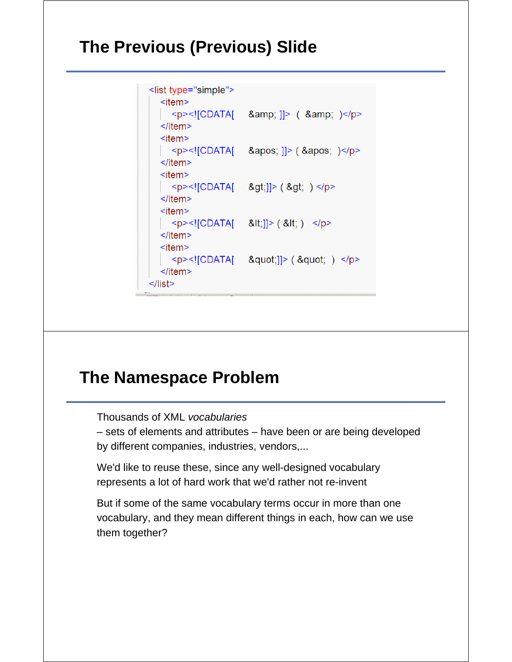### **The Previous (Previous) Slide**

```
<list type="simple">
     <item>\langle p \rangle \langle [CDATA] & amp; ] / & amp; \langle p \rangle\le/item>
     <item><p><![CDATA[ &apos; ]]> ( &apos; )</p>
     \le/item>
     <item><p><![CDATA[ &gt;]]> ( &gt; ) </p>
     \le/item>
     <item><p><![CDATA[ &lt;]]> ( &lt; ) </p>
     \le/item>
     <item>\langle p \rangle \langle p \rangle = \langle p \rangle = \langle p \rangle = \langle p \rangle = \langle p \rangle = \langle p \rangle = \langle p \rangle = \langle p \rangle = \langle p \rangle = \langle p \rangle = \langle p \rangle = \langle p \rangle = \langle p \rangle = \langle p \rangle = \langle p \rangle = \langle p \rangle = \langle p \rangle = \langle p \rangle = \langle p \rangle = \langle p \rangle = \langle p \rangle = \langle p \rangle\le/item>
\le/list>
```
#### **The Namespace Problem**

Thousands of XML *vocabularies*

– sets of elements and attributes – have been or are being developed by different companies, industries, vendors,...

We'd like to reuse these, since any well-designed vocabulary represents a lot of hard work that we'd rather not re-invent

But if some of the same vocabulary terms occur in more than one vocabulary, and they mean different things in each, how can we use them together?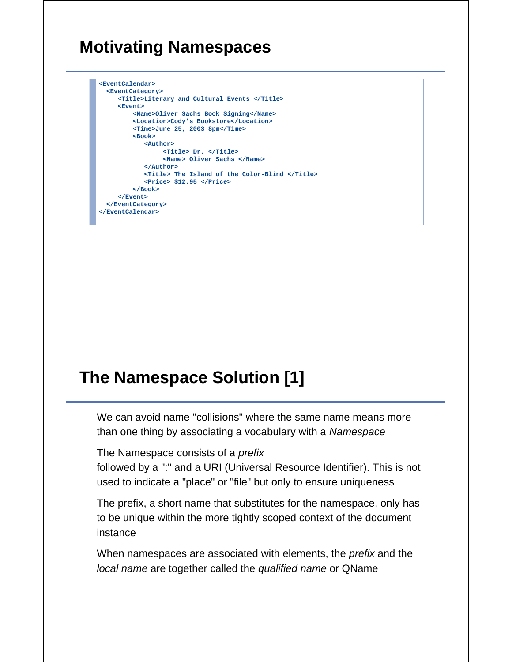# **Motivating Namespaces**

```
<EventCalendar>
  <EventCategory>
     <Title>Literary and Cultural Events </Title>
     <Event>
          <Name>Oliver Sachs Book Signing</Name>
          <Location>Cody's Bookstore</Location>
          <Time>June 25, 2003 8pm</Time>
          <Book>
             <Author>
                  <Title> Dr. </Title>
                  <Name> Oliver Sachs </Name>
             </Author>
             <Title> The Island of the Color-Blind </Title>
             <Price> $12.95 </Price>
          </Book>
     </Event>
  </EventCategory>
</EventCalendar>
```
### **The Namespace Solution [1]**

We can avoid name "collisions" where the same name means more than one thing by associating a vocabulary with a *Namespace*

The Namespace consists of a *prefix*

followed by a ":" and a URI (Universal Resource Identifier). This is not used to indicate a "place" or "file" but only to ensure uniqueness

The prefix, a short name that substitutes for the namespace, only has to be unique within the more tightly scoped context of the document instance

When namespaces are associated with elements, the *prefix* and the *local name* are together called the *qualified name* or QName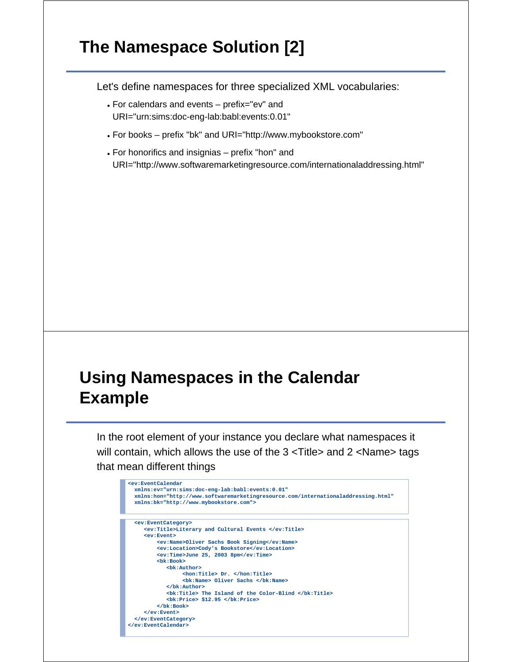# **The Namespace Solution [2]**

Let's define namespaces for three specialized XML vocabularies:

- For calendars and events prefix="ev" and URI="urn:sims:doc-eng-lab:babl:events:0.01"
- For books prefix "bk" and URI="http://www.mybookstore.com"
- For honorifics and insignias prefix "hon" and URI="http://www.softwaremarketingresource.com/internationaladdressing.html"

### **Using Namespaces in the Calendar Example**

In the root element of your instance you declare what namespaces it will contain, which allows the use of the 3 <Title> and 2 <Name> tags that mean different things